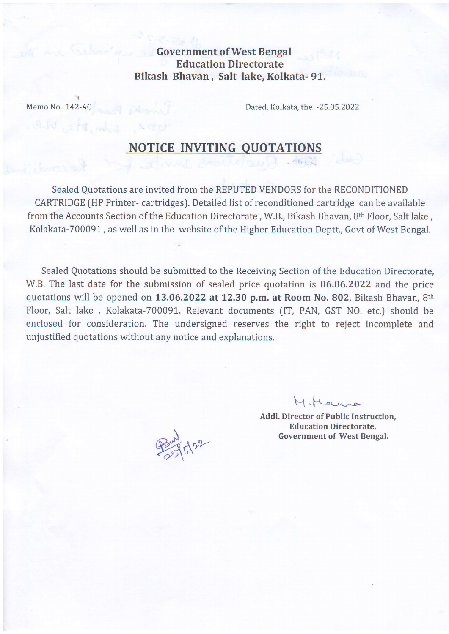Government of West Bengal Education Directorate Bikash Bhavan, Salt lake, Kolkata- 91.

I

Memo No. 142-AC Dated, Kolkata, the -25.05.2022

## **NOTICE INVITING QUOTATIONS**

Sealed Quotations are invited from the REPUTED VENDORS for the RECONDITIONED CARTRIDGE (HP Printer- cartridges). Detailed list of reconditioned cartridge can be available from the Accounts Section of the Education Directorate, W.B., Bikash Bhavan, 8th Floor, Salt lake, Kolakata-700091, as well as in the website of the Higher Education Deptt., Govt of West Bengal.

Sealed Quotations should be submitted to the Receiving Section of the Education Directorate, W.B. The last date for the submission of sealed price quotation is 06.06.2022 and the price quotations will be opened on 13.06.2022 at 12.30 p.m. at Room No. 802, Bikash Bhavan, 8th Floor, Salt lake, Kolakata-700091. Relevant documents (IT, PAN, GST NO. etc.) should be enclosed for consideration. The undersigned reserves the right to reject incomplete and unjustified quotations without any notice and explanations.

\*\*

 $M.H$ 

Addl. Director of Public Instruction, Education Directorate, Government of West Bengal.